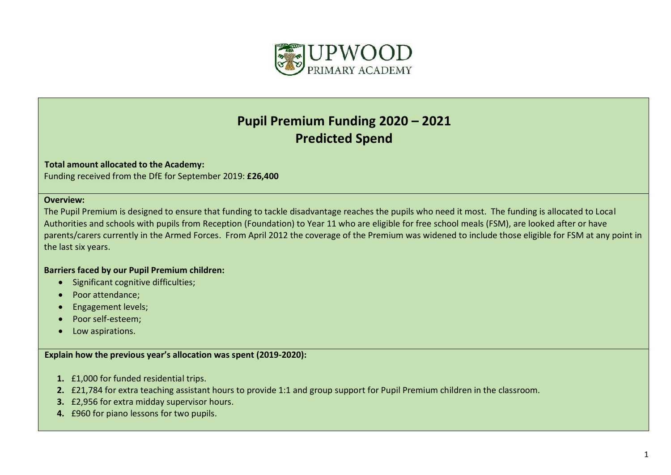

## **Pupil Premium Funding 2020 – 2021 Predicted Spend**

## **Total amount allocated to the Academy:**

Funding received from the DfE for September 2019: **£26,400**

## **Overview:**

The Pupil Premium is designed to ensure that funding to tackle disadvantage reaches the pupils who need it most. The funding is allocated to Local Authorities and schools with pupils from Reception (Foundation) to Year 11 who are eligible for free school meals (FSM), are looked after or have parents/carers currently in the Armed Forces. From April 2012 the coverage of the Premium was widened to include those eligible for FSM at any point in the last six years.

## **Barriers faced by our Pupil Premium children:**

- Significant cognitive difficulties;
- Poor attendance;
- **•** Engagement levels;
- Poor self-esteem;
- Low aspirations.

**Explain how the previous year's allocation was spent (2019-2020):**

- **1.** £1,000 for funded residential trips.
- **2.** £21,784 for extra teaching assistant hours to provide 1:1 and group support for Pupil Premium children in the classroom.
- **3.** £2,956 for extra midday supervisor hours.
- **4.** £960 for piano lessons for two pupils.